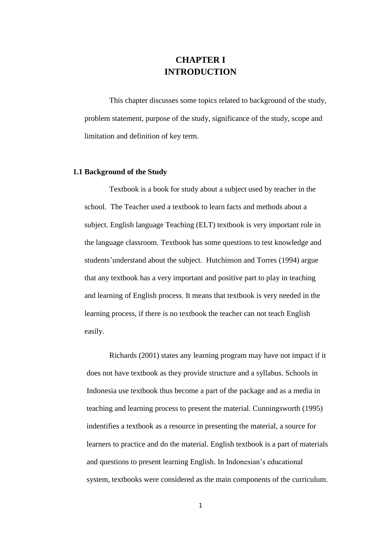# **CHAPTER I INTRODUCTION**

This chapter discusses some topics related to background of the study, problem statement, purpose of the study, significance of the study, scope and limitation and definition of key term.

#### **1.1 Background of the Study**

Textbook is a book for study about a subject used by teacher in the school. The Teacher used a textbook to learn facts and methods about a subject. English language Teaching (ELT) textbook is very important role in the language classroom. Textbook has some questions to test knowledge and students'understand about the subject. Hutchinson and Torres (1994) argue that any textbook has a very important and positive part to play in teaching and learning of English process. It means that textbook is very needed in the learning process, if there is no textbook the teacher can not teach English easily.

Richards (2001) states any learning program may have not impact if it does not have textbook as they provide structure and a syllabus. Schools in Indonesia use textbook thus become a part of the package and as a media in teaching and learning process to present the material. Cunningsworth (1995) indentifies a textbook as a resource in presenting the material, a source for learners to practice and do the material. English textbook is a part of materials and questions to present learning English. In Indonesian's educational system, textbooks were considered as the main components of the curriculum.

1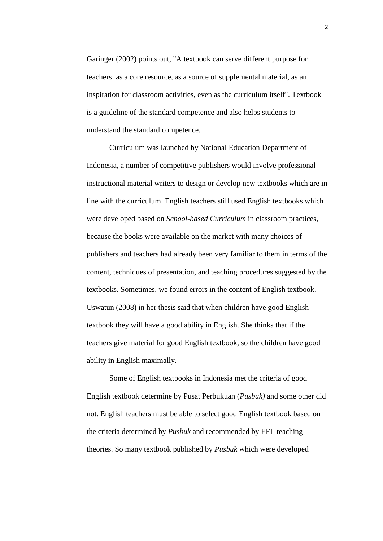Garinger (2002) points out, "A textbook can serve different purpose for teachers: as a core resource, as a source of supplemental material, as an inspiration for classroom activities, even as the curriculum itself". Textbook is a guideline of the standard competence and also helps students to understand the standard competence.

Curriculum was launched by National Education Department of Indonesia, a number of competitive publishers would involve professional instructional material writers to design or develop new textbooks which are in line with the curriculum. English teachers still used English textbooks which were developed based on *School-based Curriculum* in classroom practices, because the books were available on the market with many choices of publishers and teachers had already been very familiar to them in terms of the content, techniques of presentation, and teaching procedures suggested by the textbooks. Sometimes, we found errors in the content of English textbook. Uswatun (2008) in her thesis said that when children have good English textbook they will have a good ability in English. She thinks that if the teachers give material for good English textbook, so the children have good ability in English maximally.

Some of English textbooks in Indonesia met the criteria of good English textbook determine by Pusat Perbukuan (*Pusbuk)* and some other did not. English teachers must be able to select good English textbook based on the criteria determined by *Pusbuk* and recommended by EFL teaching theories. So many textbook published by *Pusbuk* which were developed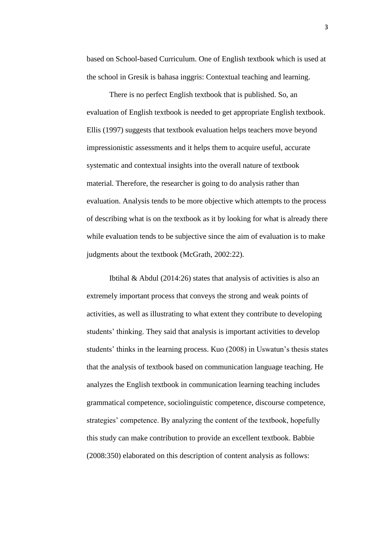based on School-based Curriculum. One of English textbook which is used at the school in Gresik is bahasa inggris: Contextual teaching and learning.

There is no perfect English textbook that is published. So, an evaluation of English textbook is needed to get appropriate English textbook. Ellis (1997) suggests that textbook evaluation helps teachers move beyond impressionistic assessments and it helps them to acquire useful, accurate systematic and contextual insights into the overall nature of textbook material. Therefore, the researcher is going to do analysis rather than evaluation. Analysis tends to be more objective which attempts to the process of describing what is on the textbook as it by looking for what is already there while evaluation tends to be subjective since the aim of evaluation is to make judgments about the textbook (McGrath, 2002:22).

Ibtihal & Abdul (2014:26) states that analysis of activities is also an extremely important process that conveys the strong and weak points of activities, as well as illustrating to what extent they contribute to developing students' thinking. They said that analysis is important activities to develop students' thinks in the learning process. Kuo (2008) in Uswatun's thesis states that the analysis of textbook based on communication language teaching. He analyzes the English textbook in communication learning teaching includes grammatical competence, sociolinguistic competence, discourse competence, strategies' competence. By analyzing the content of the textbook, hopefully this study can make contribution to provide an excellent textbook. Babbie (2008:350) elaborated on this description of content analysis as follows: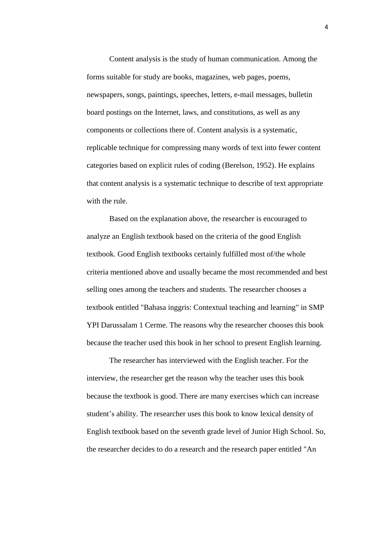Content analysis is the study of human communication. Among the forms suitable for study are books, magazines, web pages, poems, newspapers, songs, paintings, speeches, letters, e-mail messages, bulletin board postings on the Internet, laws, and constitutions, as well as any components or collections there of. Content analysis is a systematic, replicable technique for compressing many words of text into fewer content categories based on explicit rules of coding (Berelson, 1952). He explains that content analysis is a systematic technique to describe of text appropriate with the rule.

Based on the explanation above, the researcher is encouraged to analyze an English textbook based on the criteria of the good English textbook. Good English textbooks certainly fulfilled most of/the whole criteria mentioned above and usually became the most recommended and best selling ones among the teachers and students. The researcher chooses a textbook entitled "Bahasa inggris: Contextual teaching and learning" in SMP YPI Darussalam 1 Cerme. The reasons why the researcher chooses this book because the teacher used this book in her school to present English learning.

The researcher has interviewed with the English teacher. For the interview, the researcher get the reason why the teacher uses this book because the textbook is good. There are many exercises which can increase student's ability. The researcher uses this book to know lexical density of English textbook based on the seventh grade level of Junior High School. So, the researcher decides to do a research and the research paper entitled "An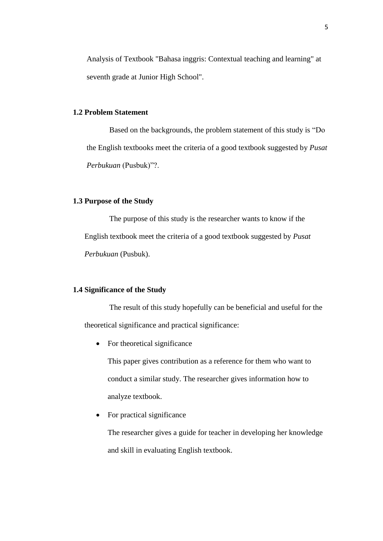Analysis of Textbook "Bahasa inggris: Contextual teaching and learning" at seventh grade at Junior High School".

### **1.2 Problem Statement**

Based on the backgrounds, the problem statement of this study is "Do the English textbooks meet the criteria of a good textbook suggested by *Pusat Perbukuan* (Pusbuk)"?.

## **1.3 Purpose of the Study**

The purpose of this study is the researcher wants to know if the English textbook meet the criteria of a good textbook suggested by *Pusat Perbukuan* (Pusbuk).

#### **1.4 Significance of the Study**

The result of this study hopefully can be beneficial and useful for the theoretical significance and practical significance:

• For theoretical significance

This paper gives contribution as a reference for them who want to conduct a similar study. The researcher gives information how to analyze textbook.

• For practical significance

The researcher gives a guide for teacher in developing her knowledge and skill in evaluating English textbook.